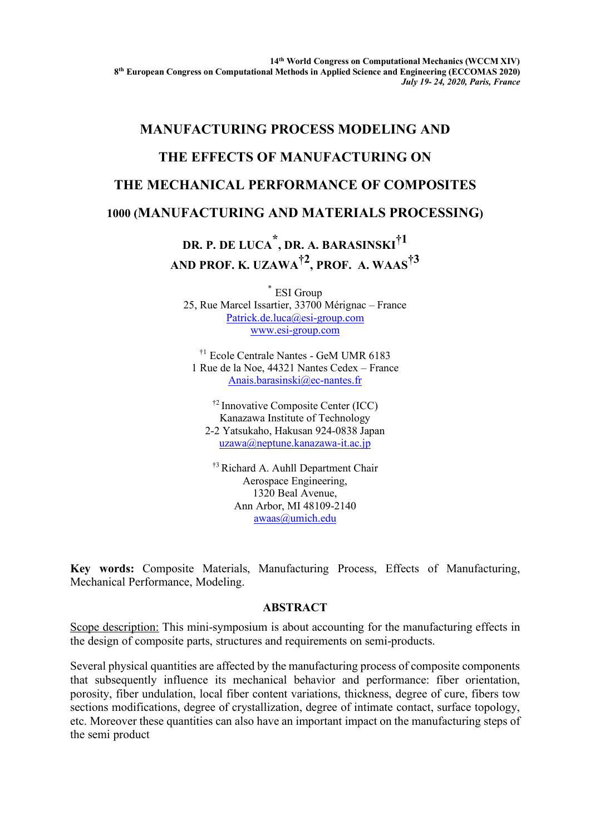#### **MANUFACTURING PROCESS MODELING AND**

#### **THE EFFECTS OF MANUFACTURING ON**

# **THE MECHANICAL PERFORMANCE OF COMPOSITES**

### **1000 (MANUFACTURING AND MATERIALS PROCESSING)**

## **DR. P. DE LUCA \*, DR. A. BARASINSKI†1 AND PROF. K. UZAWA†2, PROF. A. WAAS†3**

\* ESI Group 25, Rue Marcel Issartier, 33700 Mérignac – France Patrick.de.luca@esi-group.com www.esi-group.com

†1 Ecole Centrale Nantes - GeM UMR 6183 1 Rue de la Noe, 44321 Nantes Cedex – France Anais.barasinski@ec-nantes.fr

†2 Innovative Composite Center (ICC) Kanazawa Institute of Technology 2-2 Yatsukaho, Hakusan 924-0838 Japan uzawa@neptune.kanazawa-it.ac.jp

<sup>†3</sup> Richard A. Auhll Department Chair Aerospace Engineering, 1320 Beal Avenue, Ann Arbor, MI 48109-2140 awaas@umich.edu

**Key words:** Composite Materials, Manufacturing Process, Effects of Manufacturing, Mechanical Performance, Modeling.

#### **ABSTRACT**

Scope description: This mini-symposium is about accounting for the manufacturing effects in the design of composite parts, structures and requirements on semi-products.

Several physical quantities are affected by the manufacturing process of composite components that subsequently influence its mechanical behavior and performance: fiber orientation, porosity, fiber undulation, local fiber content variations, thickness, degree of cure, fibers tow sections modifications, degree of crystallization, degree of intimate contact, surface topology, etc. Moreover these quantities can also have an important impact on the manufacturing steps of the semi product